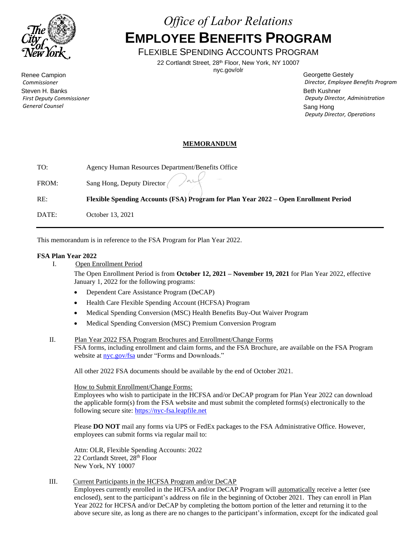

Renee Campion *Commissioner* Steven H. Banks *First Deputy Commissioner General Counsel*

# *Office of Labor Relations* **EMPLOYEE BENEFITS PROGRAM**

FLEXIBLE SPENDING ACCOUNTS PROGRAM

22 Cortlandt Street, 28th Floor, New York, NY 10007

nyc.gov/olr

Georgette Gestely *Director, Employee Benefits Program* Beth Kushner *Deputy Director, Administration* Sang Hong *Deputy Director, Operations*

# **MEMORANDUM**

| TO:   | Agency Human Resources Department/Benefits Office                                    |
|-------|--------------------------------------------------------------------------------------|
| FROM: | Sang Hong, Deputy Director and                                                       |
| RE:   | Flexible Spending Accounts (FSA) Program for Plan Year 2022 – Open Enrollment Period |

DATE: October 13, 2021

This memorandum is in reference to the FSA Program for Plan Year 2022.

# **FSA Plan Year 2022**

I. Open Enrollment Period

The Open Enrollment Period is from **October 12, 2021 – November 19, 2021** for Plan Year 2022, effective January 1, 2022 for the following programs:

- Dependent Care Assistance Program (DeCAP)
- Health Care Flexible Spending Account (HCFSA) Program
- Medical Spending Conversion (MSC) Health Benefits Buy-Out Waiver Program
- Medical Spending Conversion (MSC) Premium Conversion Program
- II. Plan Year 2022 FSA Program Brochures and Enrollment/Change Forms

FSA forms, including enrollment and claim forms, and the FSA Brochure, are available on the FSA Program website at [nyc.gov/fsa](http://www.nyc.gov/fsa) under "Forms and Downloads."

All other 2022 FSA documents should be available by the end of October 2021.

### How to Submit Enrollment/Change Forms:

Employees who wish to participate in the HCFSA and/or DeCAP program for Plan Year 2022 can download the applicable form(s) from the FSA website and must submit the completed forms(s) electronically to the following secure site[: https://nyc-fsa.leapfile.net](https://nyc-fsa.leapfile.net/)

Please **DO NOT** mail any forms via UPS or FedEx packages to the FSA Administrative Office. However, employees can submit forms via regular mail to:

Attn: OLR, Flexible Spending Accounts: 2022 22 Cortlandt Street, 28th Floor New York, NY 10007

## III. Current Participants in the HCFSA Program and/or DeCAP

Employees currently enrolled in the HCFSA and/or DeCAP Program will automatically receive a letter (see enclosed), sent to the participant's address on file in the beginning of October 2021. They can enroll in Plan Year 2022 for HCFSA and/or DeCAP by completing the bottom portion of the letter and returning it to the above secure site, as long as there are no changes to the participant's information, except for the indicated goal